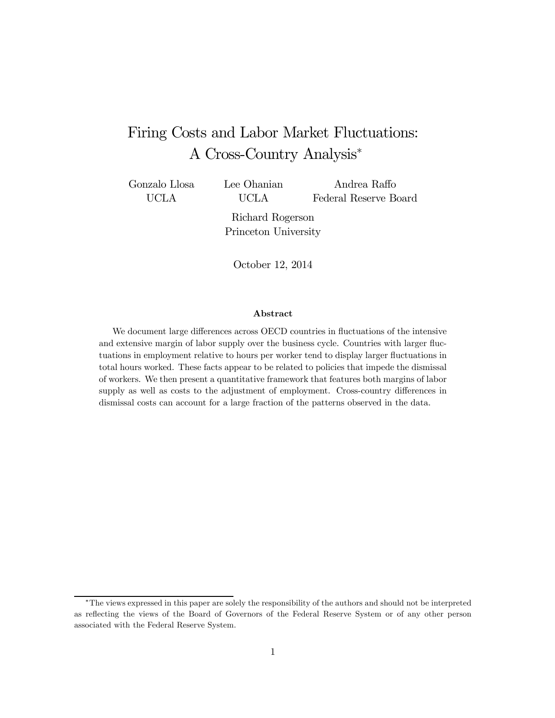# Firing Costs and Labor Market Fluctuations: A Cross-Country Analysis<sup>∗</sup>

Gonzalo Llosa UCLA

Lee Ohanian UCLA

Andrea Raffo Federal Reserve Board

Richard Rogerson Princeton University

October 12, 2014

#### Abstract

We document large differences across OECD countries in fluctuations of the intensive and extensive margin of labor supply over the business cycle. Countries with larger fluctuations in employment relative to hours per worker tend to display larger fluctuations in total hours worked. These facts appear to be related to policies that impede the dismissal of workers. We then present a quantitative framework that features both margins of labor supply as well as costs to the adjustment of employment. Cross-country differences in dismissal costs can account for a large fraction of the patterns observed in the data.

<sup>∗</sup>The views expressed in this paper are solely the responsibility of the authors and should not be interpreted as reflecting the views of the Board of Governors of the Federal Reserve System or of any other person associated with the Federal Reserve System.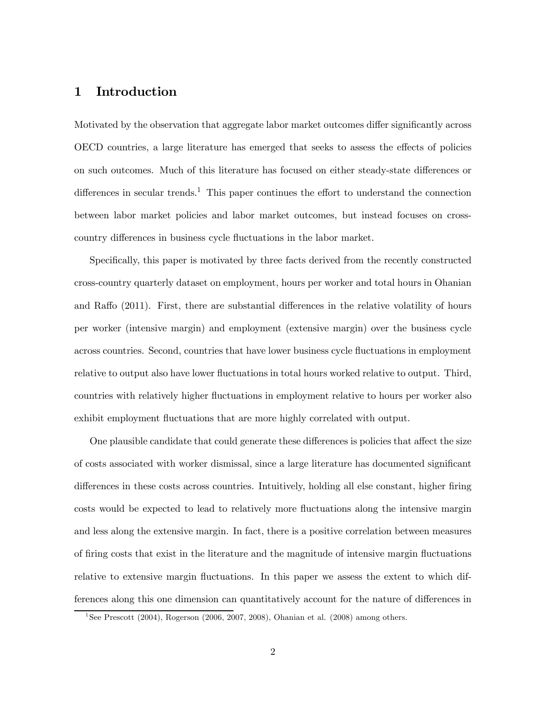# 1 Introduction

Motivated by the observation that aggregate labor market outcomes differ significantly across OECD countries, a large literature has emerged that seeks to assess the effects of policies on such outcomes. Much of this literature has focused on either steady-state differences or differences in secular trends.<sup>1</sup> This paper continues the effort to understand the connection between labor market policies and labor market outcomes, but instead focuses on crosscountry differences in business cycle fluctuations in the labor market.

Specifically, this paper is motivated by three facts derived from the recently constructed cross-country quarterly dataset on employment, hours per worker and total hours in Ohanian and Raffo (2011). First, there are substantial differences in the relative volatility of hours per worker (intensive margin) and employment (extensive margin) over the business cycle across countries. Second, countries that have lower business cycle fluctuations in employment relative to output also have lower fluctuations in total hours worked relative to output. Third, countries with relatively higher fluctuations in employment relative to hours per worker also exhibit employment fluctuations that are more highly correlated with output.

One plausible candidate that could generate these differences is policies that affect the size of costs associated with worker dismissal, since a large literature has documented significant differences in these costs across countries. Intuitively, holding all else constant, higher firing costs would be expected to lead to relatively more fluctuations along the intensive margin and less along the extensive margin. In fact, there is a positive correlation between measures of firing costs that exist in the literature and the magnitude of intensive margin fluctuations relative to extensive margin fluctuations. In this paper we assess the extent to which differences along this one dimension can quantitatively account for the nature of differences in

<sup>&</sup>lt;sup>1</sup>See Prescott (2004), Rogerson (2006, 2007, 2008), Ohanian et al. (2008) among others.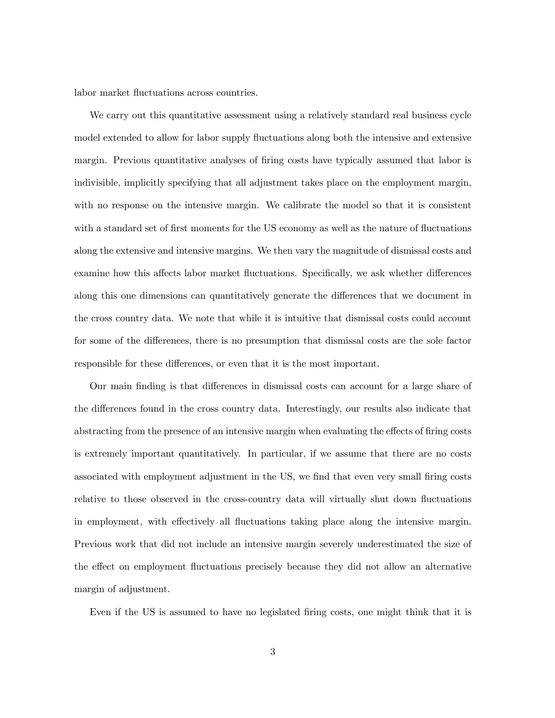labor market fluctuations across countries.

We carry out this quantitative assessment using a relatively standard real business cycle model extended to allow for labor supply fluctuations along both the intensive and extensive margin. Previous quantitative analyses of firing costs have typically assumed that labor is indivisible, implicitly specifying that all adjustment takes place on the employment margin, with no response on the intensive margin. We calibrate the model so that it is consistent with a standard set of first moments for the US economy as well as the nature of fluctuations along the extensive and intensive margins. We then vary the magnitude of dismissal costs and examine how this affects labor market fluctuations. Specifically, we ask whether differences along this one dimensions can quantitatively generate the differences that we document in the cross country data. We note that while it is intuitive that dismissal costs could account for some of the differences, there is no presumption that dismissal costs are the sole factor responsible for these differences, or even that it is the most important.

Our main finding is that differences in dismissal costs can account for a large share of the differences found in the cross country data. Interestingly, our results also indicate that abstracting from the presence of an intensive margin when evaluating the effects of firing costs is extremely important quantitatively. In particular, if we assume that there are no costs associated with employment adjustment in the US, we find that even very small firing costs relative to those observed in the cross-country data will virtually shut down fluctuations in employment, with effectively all fluctuations taking place along the intensive margin. Previous work that did not include an intensive margin severely underestimated the size of the effect on employment fluctuations precisely because they did not allow an alternative margin of adjustment.

Even if the US is assumed to have no legislated firing costs, one might think that it is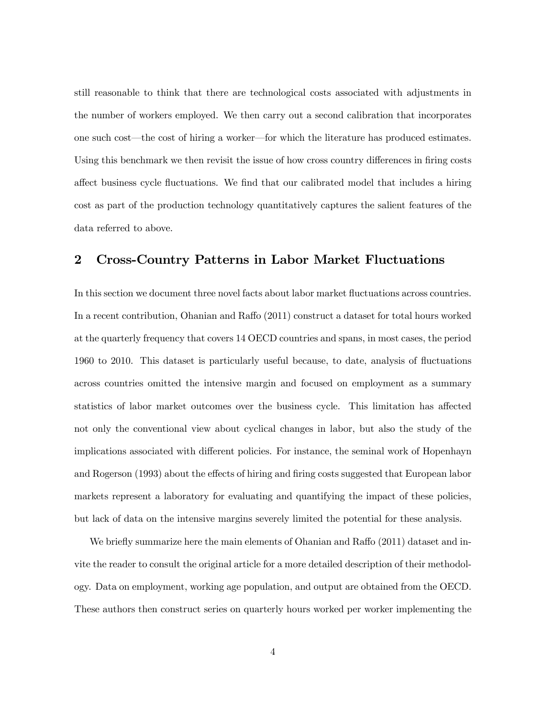still reasonable to think that there are technological costs associated with adjustments in the number of workers employed. We then carry out a second calibration that incorporates one such cost–the cost of hiring a worker–for which the literature has produced estimates. Using this benchmark we then revisit the issue of how cross country differences in firing costs affect business cycle fluctuations. We find that our calibrated model that includes a hiring cost as part of the production technology quantitatively captures the salient features of the data referred to above.

# 2 Cross-Country Patterns in Labor Market Fluctuations

In this section we document three novel facts about labor market fluctuations across countries. In a recent contribution, Ohanian and Raffo (2011) construct a dataset for total hours worked at the quarterly frequency that covers 14 OECD countries and spans, in most cases, the period 1960 to 2010. This dataset is particularly useful because, to date, analysis of fluctuations across countries omitted the intensive margin and focused on employment as a summary statistics of labor market outcomes over the business cycle. This limitation has affected not only the conventional view about cyclical changes in labor, but also the study of the implications associated with different policies. For instance, the seminal work of Hopenhayn and Rogerson (1993) about the effects of hiring and firing costs suggested that European labor markets represent a laboratory for evaluating and quantifying the impact of these policies, but lack of data on the intensive margins severely limited the potential for these analysis.

We briefly summarize here the main elements of Ohanian and Raffo  $(2011)$  dataset and invite the reader to consult the original article for a more detailed description of their methodology. Data on employment, working age population, and output are obtained from the OECD. These authors then construct series on quarterly hours worked per worker implementing the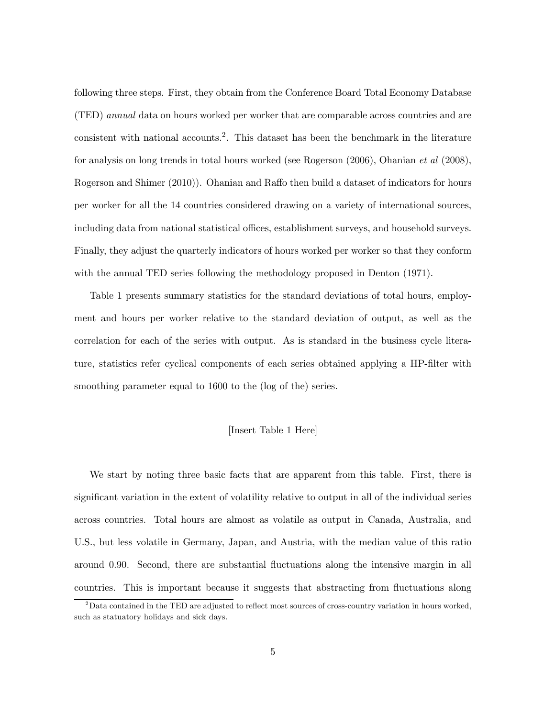following three steps. First, they obtain from the Conference Board Total Economy Database (TED) annual data on hours worked per worker that are comparable across countries and are consistent with national accounts.2. This dataset has been the benchmark in the literature for analysis on long trends in total hours worked (see Rogerson (2006), Ohanian et al (2008), Rogerson and Shimer (2010)). Ohanian and Raffo then build a dataset of indicators for hours per worker for all the 14 countries considered drawing on a variety of international sources, including data from national statistical offices, establishment surveys, and household surveys. Finally, they adjust the quarterly indicators of hours worked per worker so that they conform with the annual TED series following the methodology proposed in Denton (1971).

Table 1 presents summary statistics for the standard deviations of total hours, employment and hours per worker relative to the standard deviation of output, as well as the correlation for each of the series with output. As is standard in the business cycle literature, statistics refer cyclical components of each series obtained applying a HP-filter with smoothing parameter equal to 1600 to the (log of the) series.

#### [Insert Table 1 Here]

We start by noting three basic facts that are apparent from this table. First, there is significant variation in the extent of volatility relative to output in all of the individual series across countries. Total hours are almost as volatile as output in Canada, Australia, and U.S., but less volatile in Germany, Japan, and Austria, with the median value of this ratio around 0.90. Second, there are substantial fluctuations along the intensive margin in all countries. This is important because it suggests that abstracting from fluctuations along

<sup>&</sup>lt;sup>2</sup>Data contained in the TED are adjusted to reflect most sources of cross-country variation in hours worked, such as statuatory holidays and sick days.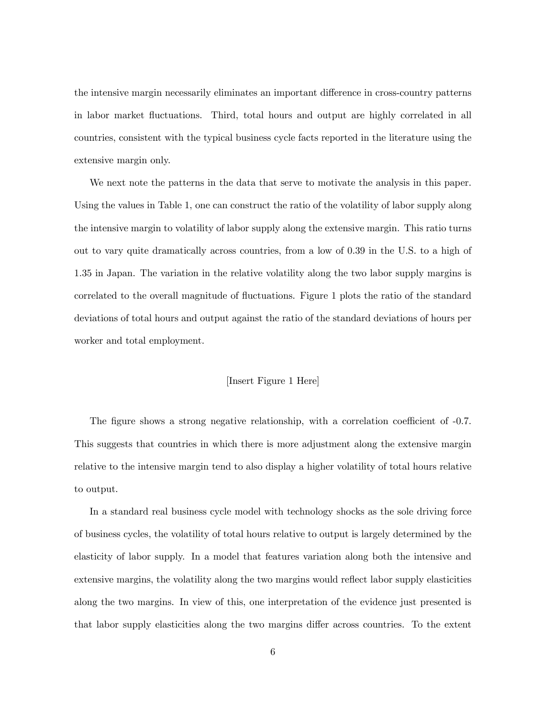the intensive margin necessarily eliminates an important difference in cross-country patterns in labor market fluctuations. Third, total hours and output are highly correlated in all countries, consistent with the typical business cycle facts reported in the literature using the extensive margin only.

We next note the patterns in the data that serve to motivate the analysis in this paper. Using the values in Table 1, one can construct the ratio of the volatility of labor supply along the intensive margin to volatility of labor supply along the extensive margin. This ratio turns out to vary quite dramatically across countries, from a low of 0.39 in the U.S. to a high of 1.35 in Japan. The variation in the relative volatility along the two labor supply margins is correlated to the overall magnitude of fluctuations. Figure 1 plots the ratio of the standard deviations of total hours and output against the ratio of the standard deviations of hours per worker and total employment.

#### [Insert Figure 1 Here]

The figure shows a strong negative relationship, with a correlation coefficient of -0.7. This suggests that countries in which there is more adjustment along the extensive margin relative to the intensive margin tend to also display a higher volatility of total hours relative to output.

In a standard real business cycle model with technology shocks as the sole driving force of business cycles, the volatility of total hours relative to output is largely determined by the elasticity of labor supply. In a model that features variation along both the intensive and extensive margins, the volatility along the two margins would reflect labor supply elasticities along the two margins. In view of this, one interpretation of the evidence just presented is that labor supply elasticities along the two margins differ across countries. To the extent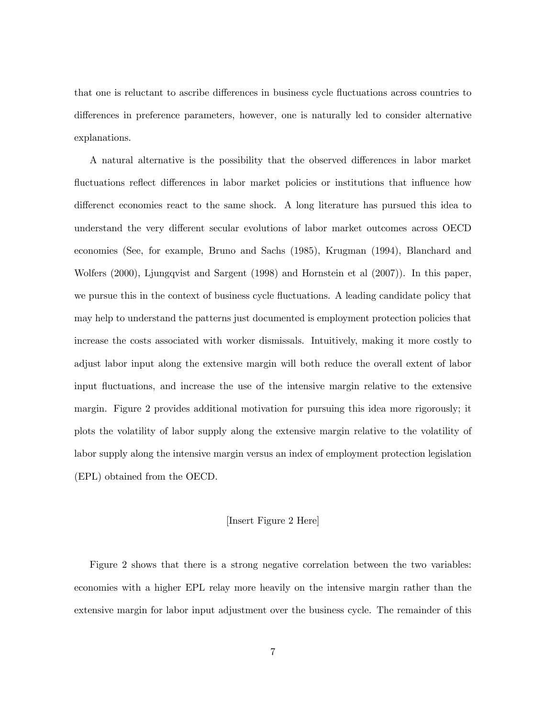that one is reluctant to ascribe differences in business cycle fluctuations across countries to differences in preference parameters, however, one is naturally led to consider alternative explanations.

A natural alternative is the possibility that the observed differences in labor market fluctuations reflect differences in labor market policies or institutions that influence how differenct economies react to the same shock. A long literature has pursued this idea to understand the very different secular evolutions of labor market outcomes across OECD economies (See, for example, Bruno and Sachs (1985), Krugman (1994), Blanchard and Wolfers (2000), Ljungqvist and Sargent (1998) and Hornstein et al (2007)). In this paper, we pursue this in the context of business cycle fluctuations. A leading candidate policy that may help to understand the patterns just documented is employment protection policies that increase the costs associated with worker dismissals. Intuitively, making it more costly to adjust labor input along the extensive margin will both reduce the overall extent of labor input fluctuations, and increase the use of the intensive margin relative to the extensive margin. Figure 2 provides additional motivation for pursuing this idea more rigorously; it plots the volatility of labor supply along the extensive margin relative to the volatility of labor supply along the intensive margin versus an index of employment protection legislation (EPL) obtained from the OECD.

#### [Insert Figure 2 Here]

Figure 2 shows that there is a strong negative correlation between the two variables: economies with a higher EPL relay more heavily on the intensive margin rather than the extensive margin for labor input adjustment over the business cycle. The remainder of this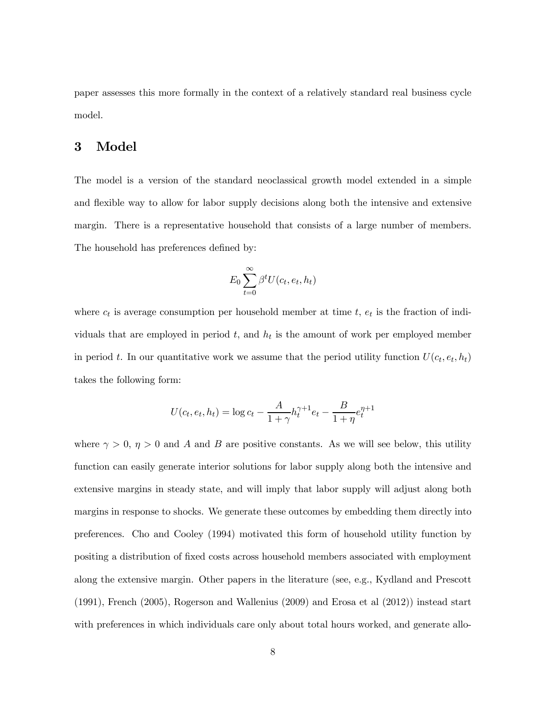paper assesses this more formally in the context of a relatively standard real business cycle model.

# 3 Model

The model is a version of the standard neoclassical growth model extended in a simple and flexible way to allow for labor supply decisions along both the intensive and extensive margin. There is a representative household that consists of a large number of members. The household has preferences defined by:

$$
E_0 \sum_{t=0}^{\infty} \beta^t U(c_t, e_t, h_t)
$$

where  $c_t$  is average consumption per household member at time  $t$ ,  $e_t$  is the fraction of individuals that are employed in period  $t$ , and  $h_t$  is the amount of work per employed member in period t. In our quantitative work we assume that the period utility function  $U(c_t, e_t, h_t)$ takes the following form:

$$
U(c_t, e_t, h_t) = \log c_t - \frac{A}{1 + \gamma} h_t^{\gamma + 1} e_t - \frac{B}{1 + \eta} e_t^{\eta + 1}
$$

where  $\gamma > 0$ ,  $\eta > 0$  and A and B are positive constants. As we will see below, this utility function can easily generate interior solutions for labor supply along both the intensive and extensive margins in steady state, and will imply that labor supply will adjust along both margins in response to shocks. We generate these outcomes by embedding them directly into preferences. Cho and Cooley (1994) motivated this form of household utility function by positing a distribution of fixed costs across household members associated with employment along the extensive margin. Other papers in the literature (see, e.g., Kydland and Prescott (1991), French (2005), Rogerson and Wallenius (2009) and Erosa et al (2012)) instead start with preferences in which individuals care only about total hours worked, and generate allo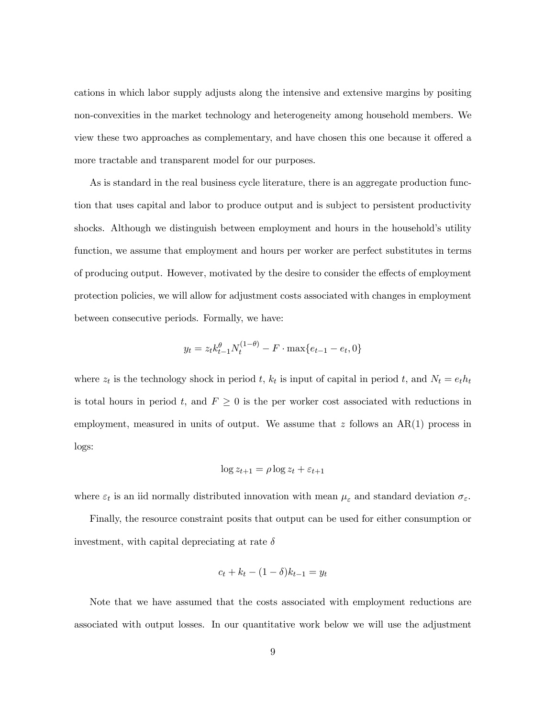cations in which labor supply adjusts along the intensive and extensive margins by positing non-convexities in the market technology and heterogeneity among household members. We view these two approaches as complementary, and have chosen this one because it offered a more tractable and transparent model for our purposes.

As is standard in the real business cycle literature, there is an aggregate production function that uses capital and labor to produce output and is subject to persistent productivity shocks. Although we distinguish between employment and hours in the household's utility function, we assume that employment and hours per worker are perfect substitutes in terms of producing output. However, motivated by the desire to consider the effects of employment protection policies, we will allow for adjustment costs associated with changes in employment between consecutive periods. Formally, we have:

$$
y_t = z_t k_{t-1}^{\theta} N_t^{(1-\theta)} - F \cdot \max\{e_{t-1} - e_t, 0\}
$$

where  $z_t$  is the technology shock in period t,  $k_t$  is input of capital in period t, and  $N_t = e_t h_t$ is total hours in period t, and  $F \geq 0$  is the per worker cost associated with reductions in employment, measured in units of output. We assume that  $z$  follows an  $AR(1)$  process in logs:

$$
\log z_{t+1} = \rho \log z_t + \varepsilon_{t+1}
$$

where  $\varepsilon_t$  is an iid normally distributed innovation with mean  $\mu_{\varepsilon}$  and standard deviation  $\sigma_{\varepsilon}$ .

Finally, the resource constraint posits that output can be used for either consumption or investment, with capital depreciating at rate  $\delta$ 

$$
c_t + k_t - (1 - \delta)k_{t-1} = y_t
$$

Note that we have assumed that the costs associated with employment reductions are associated with output losses. In our quantitative work below we will use the adjustment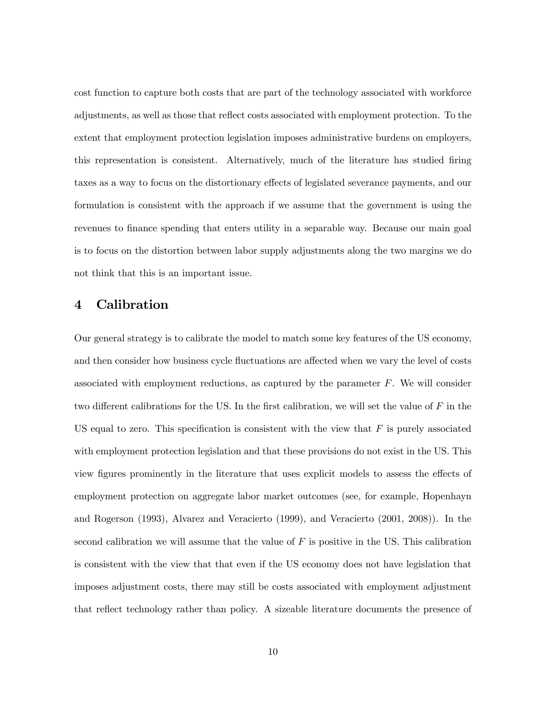cost function to capture both costs that are part of the technology associated with workforce adjustments, as well as those that reflect costs associated with employment protection. To the extent that employment protection legislation imposes administrative burdens on employers, this representation is consistent. Alternatively, much of the literature has studied firing taxes as a way to focus on the distortionary effects of legislated severance payments, and our formulation is consistent with the approach if we assume that the government is using the revenues to finance spending that enters utility in a separable way. Because our main goal is to focus on the distortion between labor supply adjustments along the two margins we do not think that this is an important issue.

### 4 Calibration

Our general strategy is to calibrate the model to match some key features of the US economy, and then consider how business cycle fluctuations are affected when we vary the level of costs associated with employment reductions, as captured by the parameter  $F$ . We will consider two different calibrations for the US. In the first calibration, we will set the value of  $F$  in the US equal to zero. This specification is consistent with the view that  $F$  is purely associated with employment protection legislation and that these provisions do not exist in the US. This view figures prominently in the literature that uses explicit models to assess the effects of employment protection on aggregate labor market outcomes (see, for example, Hopenhayn and Rogerson (1993), Alvarez and Veracierto (1999), and Veracierto (2001, 2008)). In the second calibration we will assume that the value of  $F$  is positive in the US. This calibration is consistent with the view that that even if the US economy does not have legislation that imposes adjustment costs, there may still be costs associated with employment adjustment that reflect technology rather than policy. A sizeable literature documents the presence of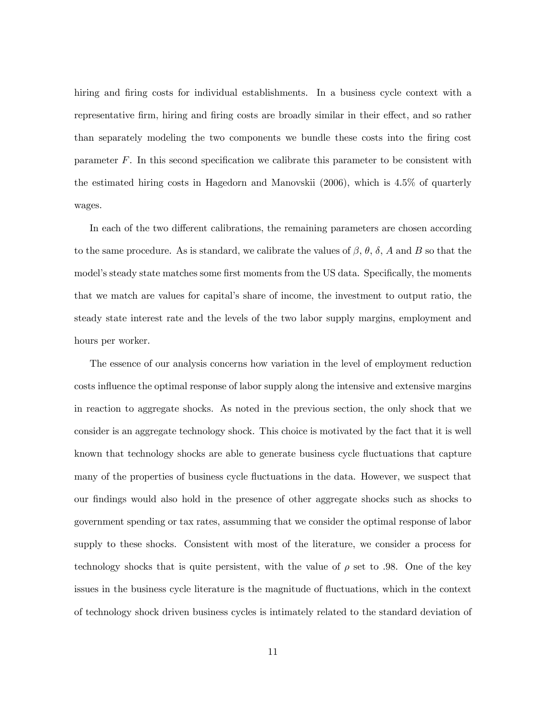hiring and firing costs for individual establishments. In a business cycle context with a representative firm, hiring and firing costs are broadly similar in their effect, and so rather than separately modeling the two components we bundle these costs into the firing cost parameter  $F$ . In this second specification we calibrate this parameter to be consistent with the estimated hiring costs in Hagedorn and Manovskii (2006), which is 4.5% of quarterly wages.

In each of the two different calibrations, the remaining parameters are chosen according to the same procedure. As is standard, we calibrate the values of  $\beta$ ,  $\theta$ ,  $\delta$ ,  $A$  and  $B$  so that the model's steady state matches some first moments from the US data. Specifically, the moments that we match are values for capital's share of income, the investment to output ratio, the steady state interest rate and the levels of the two labor supply margins, employment and hours per worker.

The essence of our analysis concerns how variation in the level of employment reduction costs influence the optimal response of labor supply along the intensive and extensive margins in reaction to aggregate shocks. As noted in the previous section, the only shock that we consider is an aggregate technology shock. This choice is motivated by the fact that it is well known that technology shocks are able to generate business cycle fluctuations that capture many of the properties of business cycle fluctuations in the data. However, we suspect that our findings would also hold in the presence of other aggregate shocks such as shocks to government spending or tax rates, assumming that we consider the optimal response of labor supply to these shocks. Consistent with most of the literature, we consider a process for technology shocks that is quite persistent, with the value of  $\rho$  set to .98. One of the key issues in the business cycle literature is the magnitude of fluctuations, which in the context of technology shock driven business cycles is intimately related to the standard deviation of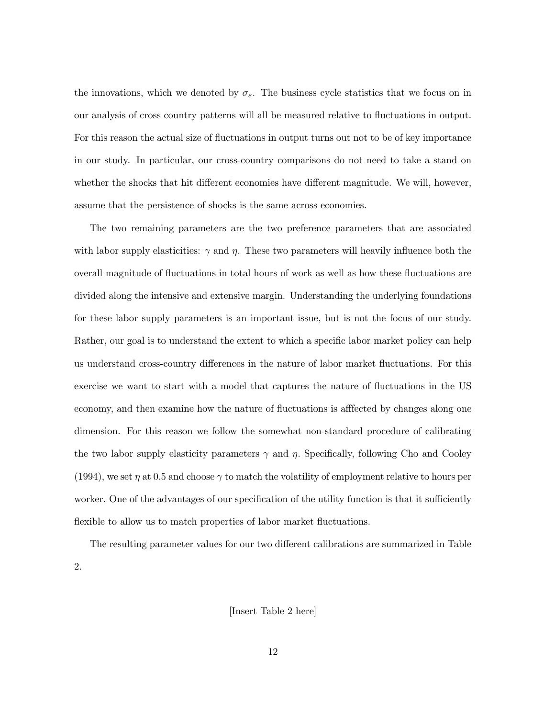the innovations, which we denoted by  $\sigma_{\varepsilon}$ . The business cycle statistics that we focus on in our analysis of cross country patterns will all be measured relative to fluctuations in output. For this reason the actual size of fluctuations in output turns out not to be of key importance in our study. In particular, our cross-country comparisons do not need to take a stand on whether the shocks that hit different economies have different magnitude. We will, however, assume that the persistence of shocks is the same across economies.

The two remaining parameters are the two preference parameters that are associated with labor supply elasticities:  $\gamma$  and  $\eta$ . These two parameters will heavily influence both the overall magnitude of fluctuations in total hours of work as well as how these fluctuations are divided along the intensive and extensive margin. Understanding the underlying foundations for these labor supply parameters is an important issue, but is not the focus of our study. Rather, our goal is to understand the extent to which a specific labor market policy can help us understand cross-country differences in the nature of labor market fluctuations. For this exercise we want to start with a model that captures the nature of fluctuations in the US economy, and then examine how the nature of fluctuations is afffected by changes along one dimension. For this reason we follow the somewhat non-standard procedure of calibrating the two labor supply elasticity parameters  $\gamma$  and  $\eta$ . Specifically, following Cho and Cooley (1994), we set  $\eta$  at 0.5 and choose  $\gamma$  to match the volatility of employment relative to hours per worker. One of the advantages of our specification of the utility function is that it sufficiently flexible to allow us to match properties of labor market fluctuations.

The resulting parameter values for our two different calibrations are summarized in Table 2.

[Insert Table 2 here]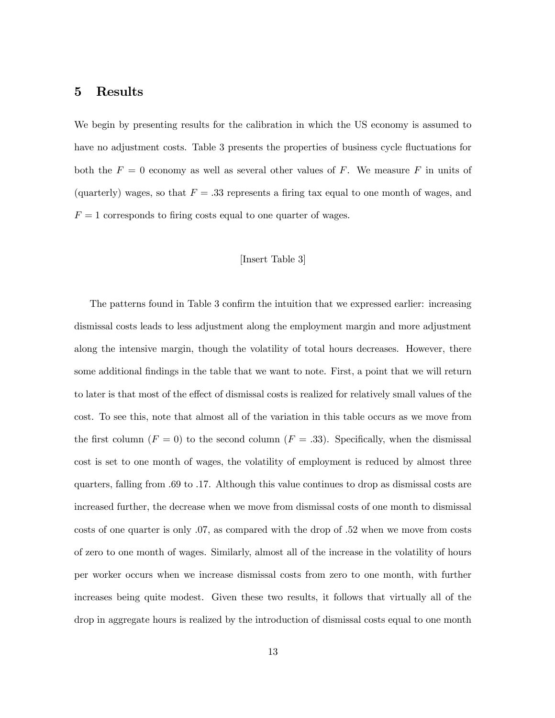### 5 Results

We begin by presenting results for the calibration in which the US economy is assumed to have no adjustment costs. Table 3 presents the properties of business cycle fluctuations for both the  $F = 0$  economy as well as several other values of F. We measure F in units of (quarterly) wages, so that  $F = .33$  represents a firing tax equal to one month of wages, and  $F = 1$  corresponds to firing costs equal to one quarter of wages.

#### [Insert Table 3]

The patterns found in Table 3 confirm the intuition that we expressed earlier: increasing dismissal costs leads to less adjustment along the employment margin and more adjustment along the intensive margin, though the volatility of total hours decreases. However, there some additional findings in the table that we want to note. First, a point that we will return to later is that most of the effect of dismissal costs is realized for relatively small values of the cost. To see this, note that almost all of the variation in this table occurs as we move from the first column  $(F = 0)$  to the second column  $(F = .33)$ . Specifically, when the dismissal cost is set to one month of wages, the volatility of employment is reduced by almost three quarters, falling from .69 to .17. Although this value continues to drop as dismissal costs are increased further, the decrease when we move from dismissal costs of one month to dismissal costs of one quarter is only .07, as compared with the drop of .52 when we move from costs of zero to one month of wages. Similarly, almost all of the increase in the volatility of hours per worker occurs when we increase dismissal costs from zero to one month, with further increases being quite modest. Given these two results, it follows that virtually all of the drop in aggregate hours is realized by the introduction of dismissal costs equal to one month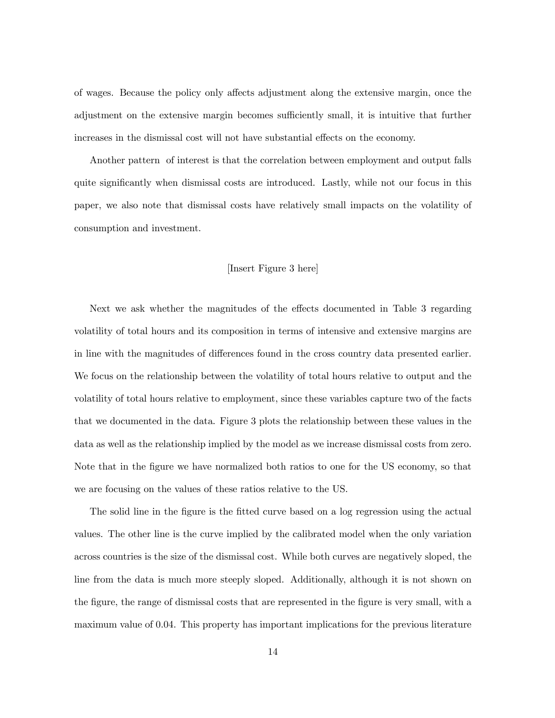of wages. Because the policy only affects adjustment along the extensive margin, once the adjustment on the extensive margin becomes sufficiently small, it is intuitive that further increases in the dismissal cost will not have substantial effects on the economy.

Another pattern of interest is that the correlation between employment and output falls quite significantly when dismissal costs are introduced. Lastly, while not our focus in this paper, we also note that dismissal costs have relatively small impacts on the volatility of consumption and investment.

#### [Insert Figure 3 here]

Next we ask whether the magnitudes of the effects documented in Table 3 regarding volatility of total hours and its composition in terms of intensive and extensive margins are in line with the magnitudes of differences found in the cross country data presented earlier. We focus on the relationship between the volatility of total hours relative to output and the volatility of total hours relative to employment, since these variables capture two of the facts that we documented in the data. Figure 3 plots the relationship between these values in the data as well as the relationship implied by the model as we increase dismissal costs from zero. Note that in the figure we have normalized both ratios to one for the US economy, so that we are focusing on the values of these ratios relative to the US.

The solid line in the figure is the fitted curve based on a log regression using the actual values. The other line is the curve implied by the calibrated model when the only variation across countries is the size of the dismissal cost. While both curves are negatively sloped, the line from the data is much more steeply sloped. Additionally, although it is not shown on the figure, the range of dismissal costs that are represented in the figure is very small, with a maximum value of 0.04. This property has important implications for the previous literature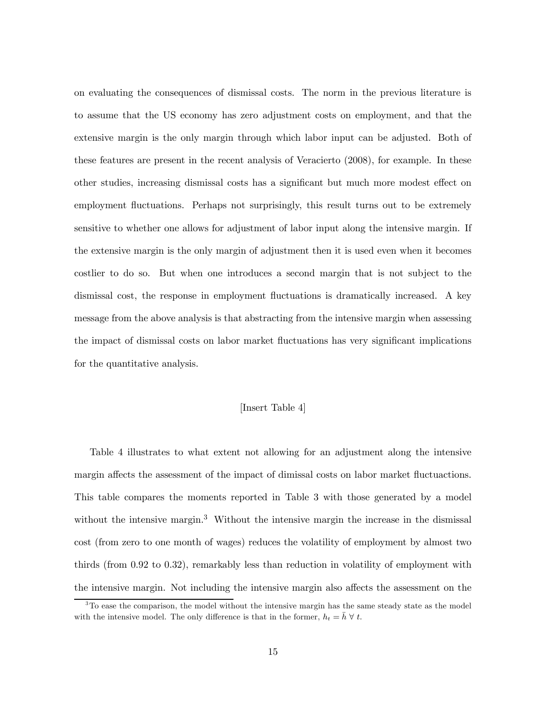on evaluating the consequences of dismissal costs. The norm in the previous literature is to assume that the US economy has zero adjustment costs on employment, and that the extensive margin is the only margin through which labor input can be adjusted. Both of these features are present in the recent analysis of Veracierto (2008), for example. In these other studies, increasing dismissal costs has a significant but much more modest effect on employment fluctuations. Perhaps not surprisingly, this result turns out to be extremely sensitive to whether one allows for adjustment of labor input along the intensive margin. If the extensive margin is the only margin of adjustment then it is used even when it becomes costlier to do so. But when one introduces a second margin that is not subject to the dismissal cost, the response in employment fluctuations is dramatically increased. A key message from the above analysis is that abstracting from the intensive margin when assessing the impact of dismissal costs on labor market fluctuations has very significant implications for the quantitative analysis.

#### [Insert Table 4]

Table 4 illustrates to what extent not allowing for an adjustment along the intensive margin affects the assessment of the impact of dimissal costs on labor market fluctuactions. This table compares the moments reported in Table 3 with those generated by a model without the intensive margin.<sup>3</sup> Without the intensive margin the increase in the dismissal cost (from zero to one month of wages) reduces the volatility of employment by almost two thirds (from 0.92 to 0.32), remarkably less than reduction in volatility of employment with the intensive margin. Not including the intensive margin also affects the assessment on the

<sup>&</sup>lt;sup>3</sup>To ease the comparison, the model without the intensive margin has the same steady state as the model with the intensive model. The only difference is that in the former,  $h_t = \bar{h} \ \forall \ t$ .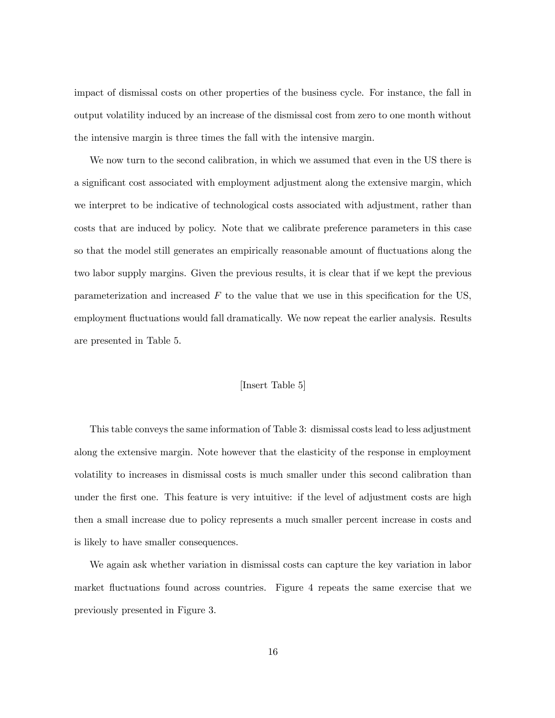impact of dismissal costs on other properties of the business cycle. For instance, the fall in output volatility induced by an increase of the dismissal cost from zero to one month without the intensive margin is three times the fall with the intensive margin.

We now turn to the second calibration, in which we assumed that even in the US there is a significant cost associated with employment adjustment along the extensive margin, which we interpret to be indicative of technological costs associated with adjustment, rather than costs that are induced by policy. Note that we calibrate preference parameters in this case so that the model still generates an empirically reasonable amount of fluctuations along the two labor supply margins. Given the previous results, it is clear that if we kept the previous parameterization and increased  $F$  to the value that we use in this specification for the US, employment fluctuations would fall dramatically. We now repeat the earlier analysis. Results are presented in Table 5.

#### [Insert Table 5]

This table conveys the same information of Table 3: dismissal costs lead to less adjustment along the extensive margin. Note however that the elasticity of the response in employment volatility to increases in dismissal costs is much smaller under this second calibration than under the first one. This feature is very intuitive: if the level of adjustment costs are high then a small increase due to policy represents a much smaller percent increase in costs and is likely to have smaller consequences.

We again ask whether variation in dismissal costs can capture the key variation in labor market fluctuations found across countries. Figure 4 repeats the same exercise that we previously presented in Figure 3.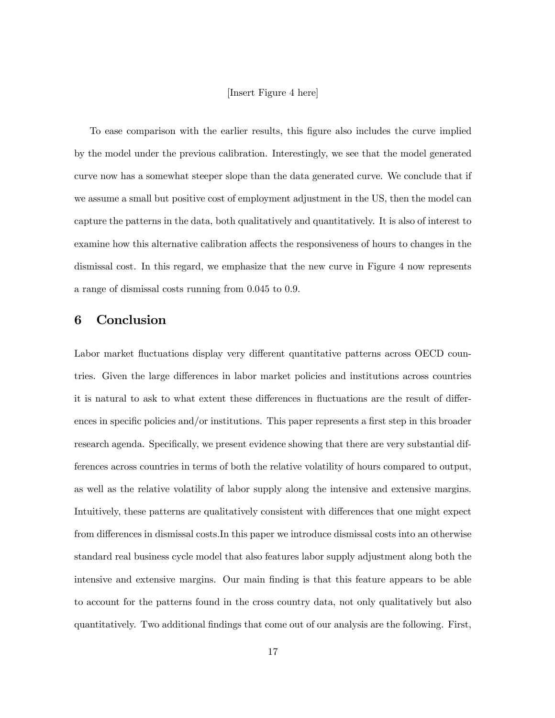#### [Insert Figure 4 here]

To ease comparison with the earlier results, this figure also includes the curve implied by the model under the previous calibration. Interestingly, we see that the model generated curve now has a somewhat steeper slope than the data generated curve. We conclude that if we assume a small but positive cost of employment adjustment in the US, then the model can capture the patterns in the data, both qualitatively and quantitatively. It is also of interest to examine how this alternative calibration affects the responsiveness of hours to changes in the dismissal cost. In this regard, we emphasize that the new curve in Figure 4 now represents a range of dismissal costs running from 0.045 to 0.9.

## 6 Conclusion

Labor market fluctuations display very different quantitative patterns across OECD countries. Given the large differences in labor market policies and institutions across countries it is natural to ask to what extent these differences in fluctuations are the result of differences in specific policies and/or institutions. This paper represents a first step in this broader research agenda. Specifically, we present evidence showing that there are very substantial differences across countries in terms of both the relative volatility of hours compared to output, as well as the relative volatility of labor supply along the intensive and extensive margins. Intuitively, these patterns are qualitatively consistent with differences that one might expect from differences in dismissal costs.In this paper we introduce dismissal costs into an otherwise standard real business cycle model that also features labor supply adjustment along both the intensive and extensive margins. Our main finding is that this feature appears to be able to account for the patterns found in the cross country data, not only qualitatively but also quantitatively. Two additional findings that come out of our analysis are the following. First,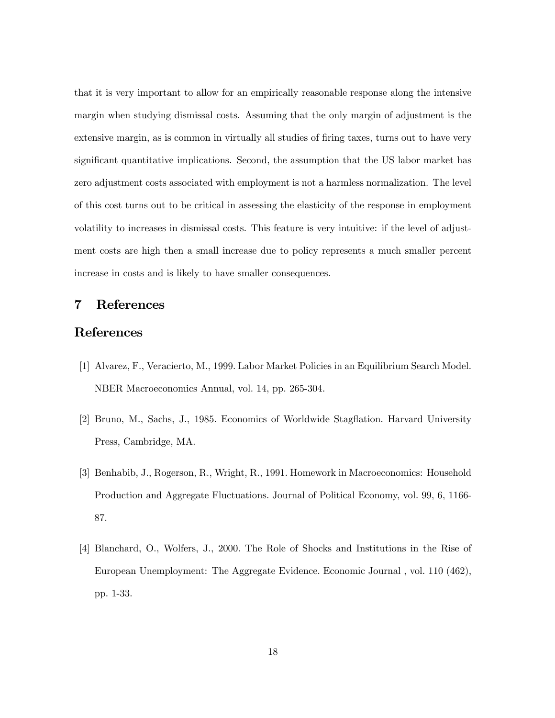that it is very important to allow for an empirically reasonable response along the intensive margin when studying dismissal costs. Assuming that the only margin of adjustment is the extensive margin, as is common in virtually all studies of firing taxes, turns out to have very significant quantitative implications. Second, the assumption that the US labor market has zero adjustment costs associated with employment is not a harmless normalization. The level of this cost turns out to be critical in assessing the elasticity of the response in employment volatility to increases in dismissal costs. This feature is very intuitive: if the level of adjustment costs are high then a small increase due to policy represents a much smaller percent increase in costs and is likely to have smaller consequences.

# 7 References

# References

- [1] Alvarez, F., Veracierto, M., 1999. Labor Market Policies in an Equilibrium Search Model. NBER Macroeconomics Annual, vol. 14, pp. 265-304.
- [2] Bruno, M., Sachs, J., 1985. Economics of Worldwide Stagflation. Harvard University Press, Cambridge, MA.
- [3] Benhabib, J., Rogerson, R., Wright, R., 1991. Homework in Macroeconomics: Household Production and Aggregate Fluctuations. Journal of Political Economy, vol. 99, 6, 1166- 87.
- [4] Blanchard, O., Wolfers, J., 2000. The Role of Shocks and Institutions in the Rise of European Unemployment: The Aggregate Evidence. Economic Journal , vol. 110 (462), pp. 1-33.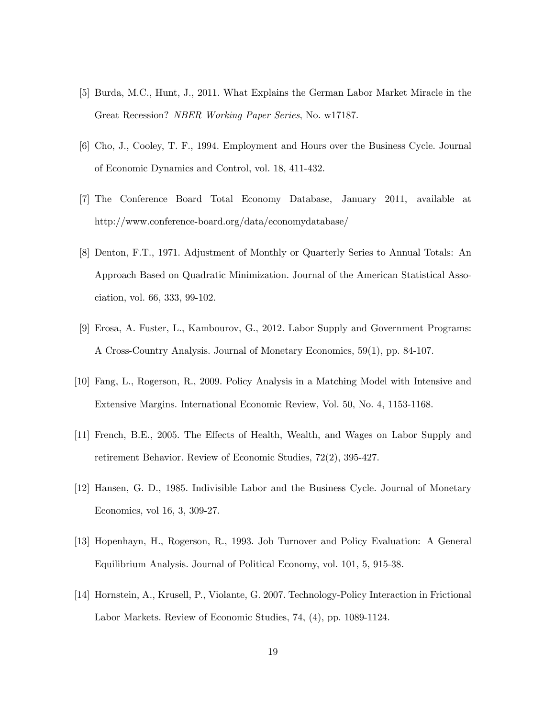- [5] Burda, M.C., Hunt, J., 2011. What Explains the German Labor Market Miracle in the Great Recession? NBER Working Paper Series, No. w17187.
- [6] Cho, J., Cooley, T. F., 1994. Employment and Hours over the Business Cycle. Journal of Economic Dynamics and Control, vol. 18, 411-432.
- [7] The Conference Board Total Economy Database, January 2011, available at http://www.conference-board.org/data/economydatabase/
- [8] Denton, F.T., 1971. Adjustment of Monthly or Quarterly Series to Annual Totals: An Approach Based on Quadratic Minimization. Journal of the American Statistical Association, vol. 66, 333, 99-102.
- [9] Erosa, A. Fuster, L., Kambourov, G., 2012. Labor Supply and Government Programs: A Cross-Country Analysis. Journal of Monetary Economics, 59(1), pp. 84-107.
- [10] Fang, L., Rogerson, R., 2009. Policy Analysis in a Matching Model with Intensive and Extensive Margins. International Economic Review, Vol. 50, No. 4, 1153-1168.
- [11] French, B.E., 2005. The Effects of Health, Wealth, and Wages on Labor Supply and retirement Behavior. Review of Economic Studies, 72(2), 395-427.
- [12] Hansen, G. D., 1985. Indivisible Labor and the Business Cycle. Journal of Monetary Economics, vol 16, 3, 309-27.
- [13] Hopenhayn, H., Rogerson, R., 1993. Job Turnover and Policy Evaluation: A General Equilibrium Analysis. Journal of Political Economy, vol. 101, 5, 915-38.
- [14] Hornstein, A., Krusell, P., Violante, G. 2007. Technology-Policy Interaction in Frictional Labor Markets. Review of Economic Studies, 74, (4), pp. 1089-1124.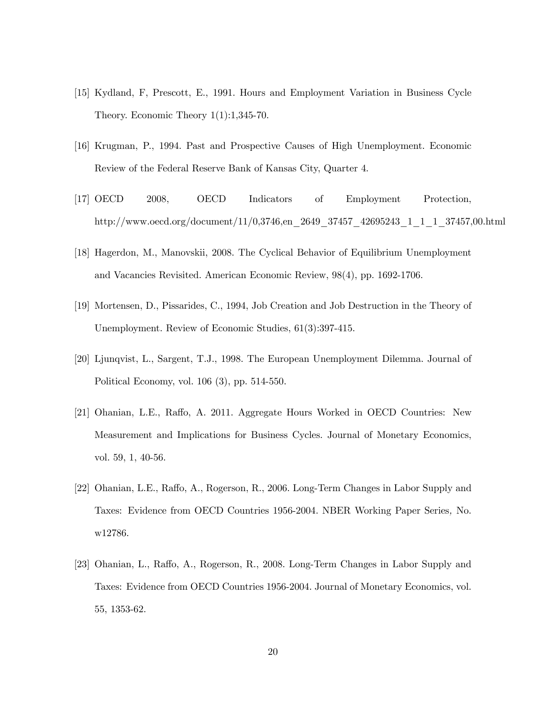- [15] Kydland, F, Prescott, E., 1991. Hours and Employment Variation in Business Cycle Theory. Economic Theory 1(1):1,345-70.
- [16] Krugman, P., 1994. Past and Prospective Causes of High Unemployment. Economic Review of the Federal Reserve Bank of Kansas City, Quarter 4.
- [17] OECD 2008, OECD Indicators of Employment Protection, http://www.oecd.org/document/11/0,3746,en\_2649\_37457\_42695243\_1\_1\_1\_37457,00.html
- [18] Hagerdon, M., Manovskii, 2008. The Cyclical Behavior of Equilibrium Unemployment and Vacancies Revisited. American Economic Review, 98(4), pp. 1692-1706.
- [19] Mortensen, D., Pissarides, C., 1994, Job Creation and Job Destruction in the Theory of Unemployment. Review of Economic Studies, 61(3):397-415.
- [20] Ljunqvist, L., Sargent, T.J., 1998. The European Unemployment Dilemma. Journal of Political Economy, vol. 106 (3), pp. 514-550.
- [21] Ohanian, L.E., Raffo, A. 2011. Aggregate Hours Worked in OECD Countries: New Measurement and Implications for Business Cycles. Journal of Monetary Economics, vol. 59, 1, 40-56.
- [22] Ohanian, L.E., Raffo, A., Rogerson, R., 2006. Long-Term Changes in Labor Supply and Taxes: Evidence from OECD Countries 1956-2004. NBER Working Paper Series, No. w12786.
- [23] Ohanian, L., Raffo, A., Rogerson, R., 2008. Long-Term Changes in Labor Supply and Taxes: Evidence from OECD Countries 1956-2004. Journal of Monetary Economics, vol. 55, 1353-62.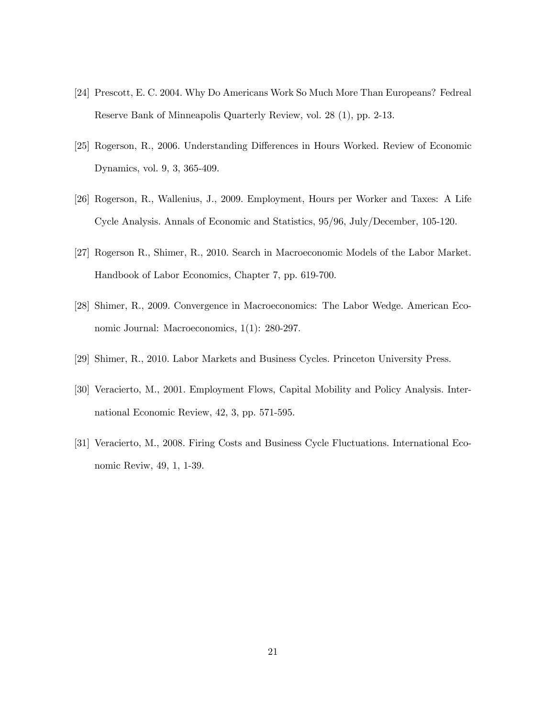- [24] Prescott, E. C. 2004. Why Do Americans Work So Much More Than Europeans? Fedreal Reserve Bank of Minneapolis Quarterly Review, vol. 28 (1), pp. 2-13.
- [25] Rogerson, R., 2006. Understanding Differences in Hours Worked. Review of Economic Dynamics, vol. 9, 3, 365-409.
- [26] Rogerson, R., Wallenius, J., 2009. Employment, Hours per Worker and Taxes: A Life Cycle Analysis. Annals of Economic and Statistics, 95/96, July/December, 105-120.
- [27] Rogerson R., Shimer, R., 2010. Search in Macroeconomic Models of the Labor Market. Handbook of Labor Economics, Chapter 7, pp. 619-700.
- [28] Shimer, R., 2009. Convergence in Macroeconomics: The Labor Wedge. American Economic Journal: Macroeconomics, 1(1): 280-297.
- [29] Shimer, R., 2010. Labor Markets and Business Cycles. Princeton University Press.
- [30] Veracierto, M., 2001. Employment Flows, Capital Mobility and Policy Analysis. International Economic Review, 42, 3, pp. 571-595.
- [31] Veracierto, M., 2008. Firing Costs and Business Cycle Fluctuations. International Economic Reviw, 49, 1, 1-39.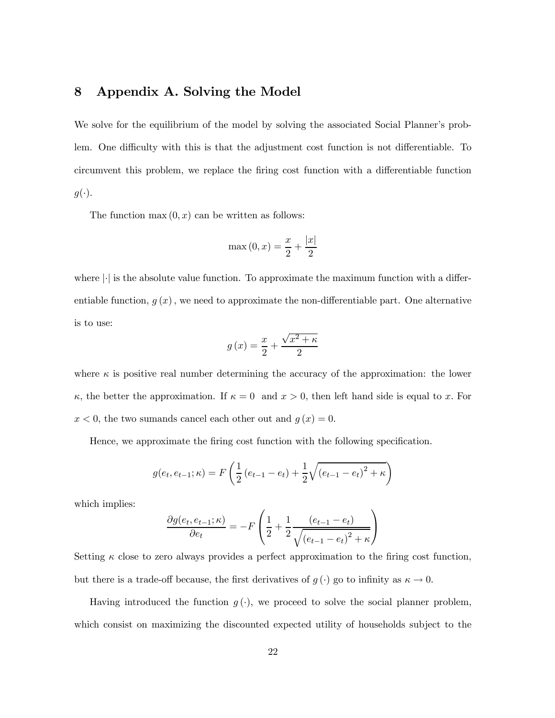# 8 Appendix A. Solving the Model

We solve for the equilibrium of the model by solving the associated Social Planner's problem. One difficulty with this is that the adjustment cost function is not differentiable. To circumvent this problem, we replace the firing cost function with a differentiable function  $g(\cdot).$ 

The function max  $(0, x)$  can be written as follows:

$$
\max(0, x) = \frac{x}{2} + \frac{|x|}{2}
$$

where  $\lvert \cdot \rvert$  is the absolute value function. To approximate the maximum function with a differentiable function,  $g(x)$ , we need to approximate the non-differentiable part. One alternative is to use:

$$
g\left(x\right) = \frac{x}{2} + \frac{\sqrt{x^2 + \kappa}}{2}
$$

where  $\kappa$  is positive real number determining the accuracy of the approximation: the lower  $\kappa$ , the better the approximation. If  $\kappa = 0$  and  $x > 0$ , then left hand side is equal to x. For  $x < 0$ , the two sumands cancel each other out and  $g(x) = 0$ .

Hence, we approximate the firing cost function with the following specification.

$$
g(e_t, e_{t-1}; \kappa) = F\left(\frac{1}{2}(e_{t-1} - e_t) + \frac{1}{2}\sqrt{(e_{t-1} - e_t)^2 + \kappa}\right)
$$

which implies:

$$
\frac{\partial g(e_t, e_{t-1}; \kappa)}{\partial e_t} = -F\left(\frac{1}{2} + \frac{1}{2} \frac{(e_{t-1} - e_t)}{\sqrt{(e_{t-1} - e_t)^2 + \kappa}}\right)
$$

Setting  $\kappa$  close to zero always provides a perfect approximation to the firing cost function, but there is a trade-off because, the first derivatives of  $g(\cdot)$  go to infinity as  $\kappa \to 0$ .

Having introduced the function  $g(\cdot)$ , we proceed to solve the social planner problem, which consist on maximizing the discounted expected utility of households subject to the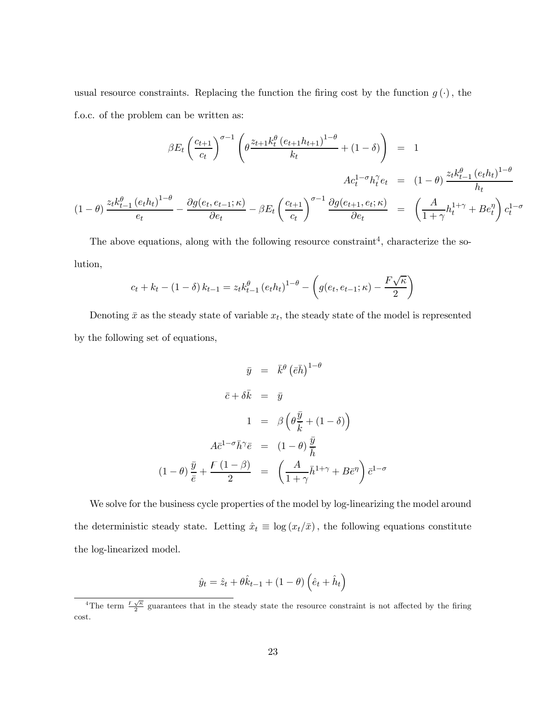usual resource constraints. Replacing the function the firing cost by the function  $g(\cdot)$ , the f.o.c. of the problem can be written as:

$$
\beta E_t \left(\frac{c_{t+1}}{c_t}\right)^{\sigma-1} \left(\theta \frac{z_{t+1} k_t^{\theta} (e_{t+1} h_{t+1})^{1-\theta}}{k_t} + (1 - \delta)\right) = 1
$$
  

$$
Ac_t^{1-\sigma} h_t^{\gamma} e_t = (1 - \theta) \frac{z_t k_{t-1}^{\theta} (e_t h_t)^{1-\theta}}{h_t}
$$
  

$$
(1 - \theta) \frac{z_t k_{t-1}^{\theta} (e_t h_t)^{1-\theta}}{e_t} - \frac{\partial g(e_t, e_{t-1}; \kappa)}{\partial e_t} - \beta E_t \left(\frac{c_{t+1}}{c_t}\right)^{\sigma-1} \frac{\partial g(e_{t+1}, e_t; \kappa)}{\partial e_t} = \left(\frac{A}{1 + \gamma} h_t^{1+\gamma} + Be_t^{\eta}\right) c_t^{1-\sigma}
$$

The above equations, along with the following resource constraint<sup>4</sup>, characterize the solution,

$$
c_t + k_t - (1 - \delta) k_{t-1} = z_t k_{t-1}^{\theta} (e_t h_t)^{1-\theta} - \left( g(e_t, e_{t-1}; \kappa) - \frac{F\sqrt{\kappa}}{2} \right)
$$

Denoting  $\bar{x}$  as the steady state of variable  $x_t$ , the steady state of the model is represented by the following set of equations,

$$
\bar{y} = \bar{k}^{\theta} (\bar{e}\bar{h})^{1-\theta}
$$

$$
\bar{c} + \delta \bar{k} = \bar{y}
$$

$$
1 = \beta \left(\theta \frac{\bar{y}}{\bar{k}} + (1 - \delta)\right)
$$

$$
A\bar{c}^{1-\sigma}\bar{h}^{\gamma}\bar{e} = (1 - \theta)\frac{\bar{y}}{\bar{h}}
$$

$$
(1 - \theta)\frac{\bar{y}}{\bar{e}} + \frac{F(1 - \beta)}{2} = \left(\frac{A}{1 + \gamma}\bar{h}^{1+\gamma} + B\bar{e}^{\eta}\right)\bar{c}^{1-\sigma}
$$

We solve for the business cycle properties of the model by log-linearizing the model around the deterministic steady state. Letting  $\hat{x}_t \equiv \log (x_t/\bar{x})$ , the following equations constitute the log-linearized model.

$$
\hat{y}_t = \hat{z}_t + \theta \hat{k}_{t-1} + (1 - \theta) \left( \hat{e}_t + \hat{h}_t \right)
$$

<sup>&</sup>lt;sup>4</sup>The term  $\frac{F\sqrt{\kappa}}{2}$  guarantees that in the steady state the resource constraint is not affected by the firing cost.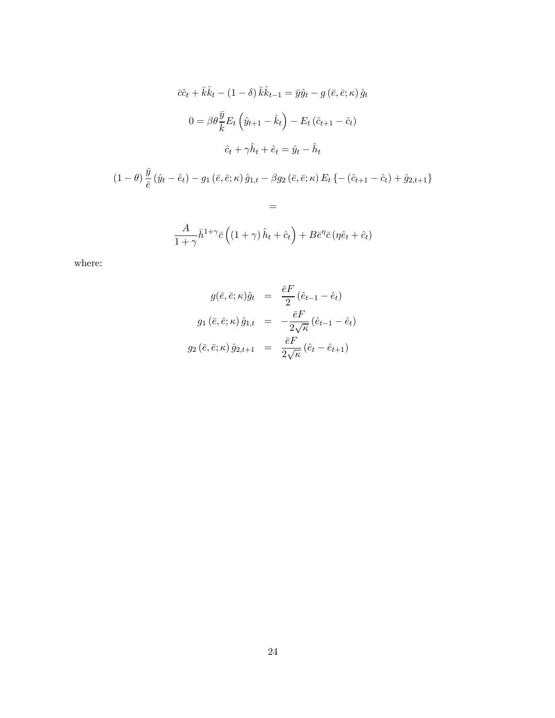$$
\begin{aligned}\n\bar{c}\hat{c}_t + \bar{k}\hat{k}_t - (1 - \delta)\bar{k}\hat{k}_{t-1} &= \bar{y}\hat{y}_t - g\left(\bar{e}, \bar{e}; \kappa\right)\hat{y}_t \\
0 &= \beta\theta \frac{\bar{y}}{\bar{k}} E_t \left(\hat{y}_{t+1} - \hat{k}_t\right) - E_t \left(\hat{c}_{t+1} - \hat{c}_t\right) \\
\hat{c}_t + \gamma \hat{h}_t + \hat{e}_t &= \hat{y}_t - \hat{h}_t\n\end{aligned}
$$
\n
$$
(1 - \theta)\frac{\bar{y}}{\bar{e}}\left(\hat{y}_t - \hat{e}_t\right) - g_1 \left(\bar{e}, \bar{e}; \kappa\right)\hat{g}_{1,t} - \beta g_2 \left(\bar{e}, \bar{e}; \kappa\right) E_t \left\{ - \left(\hat{c}_{t+1} - \hat{c}_t\right) + \hat{g}_{2,t+1} \right\} \\
=
$$
\n
$$
\frac{A}{1 + \gamma} \bar{h}^{1 + \gamma} \bar{c} \left( (1 + \gamma)\hat{h}_t + \hat{c}_t \right) + B \bar{e}^{\eta} \bar{c} \left(\eta \hat{e}_t + \hat{c}_t\right)
$$

where:

$$
g(\bar{e}, \bar{e}; \kappa)\hat{g}_t = \frac{\bar{e}F}{2} (\hat{e}_{t-1} - \hat{e}_t)
$$
  

$$
g_1(\bar{e}, \bar{e}; \kappa)\hat{g}_{1,t} = -\frac{\bar{e}F}{2\sqrt{\kappa}} (\hat{e}_{t-1} - \hat{e}_t)
$$
  

$$
g_2(\bar{e}, \bar{e}; \kappa)\hat{g}_{2,t+1} = \frac{\bar{e}F}{2\sqrt{\kappa}} (\hat{e}_t - \hat{e}_{t+1})
$$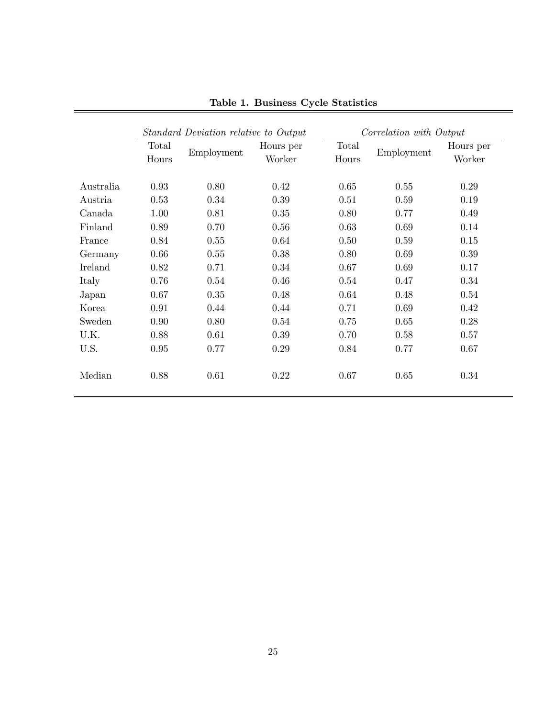|           | Standard Deviation relative to Output |            |                     | Correlation with Output |            |                     |  |  |
|-----------|---------------------------------------|------------|---------------------|-------------------------|------------|---------------------|--|--|
|           | Total<br>Hours                        | Employment | Hours per<br>Worker | Total<br>Hours          | Employment | Hours per<br>Worker |  |  |
| Australia | 0.93                                  | 0.80       | 0.42                | 0.65                    | 0.55       | 0.29                |  |  |
| Austria   | 0.53                                  | 0.34       | 0.39                | 0.51                    | 0.59       | 0.19                |  |  |
| Canada    | 1.00                                  | 0.81       | 0.35                | 0.80                    | 0.77       | 0.49                |  |  |
| Finland   | 0.89                                  | 0.70       | 0.56                | 0.63                    | 0.69       | 0.14                |  |  |
| France    | 0.84                                  | 0.55       | 0.64                | 0.50                    | 0.59       | 0.15                |  |  |
| Germany   | 0.66                                  | 0.55       | 0.38                | 0.80                    | 0.69       | 0.39                |  |  |
| Ireland   | 0.82                                  | 0.71       | 0.34                | 0.67                    | 0.69       | 0.17                |  |  |
| Italy     | 0.76                                  | 0.54       | 0.46                | 0.54                    | 0.47       | 0.34                |  |  |
| Japan     | 0.67                                  | 0.35       | 0.48                | 0.64                    | 0.48       | 0.54                |  |  |
| Korea     | 0.91                                  | 0.44       | 0.44                | 0.71                    | 0.69       | 0.42                |  |  |
| Sweden    | 0.90                                  | 0.80       | 0.54                | 0.75                    | 0.65       | 0.28                |  |  |
| U.K.      | 0.88                                  | 0.61       | 0.39                | 0.70                    | 0.58       | 0.57                |  |  |
| U.S.      | 0.95                                  | 0.77       | 0.29                | 0.84                    | 0.77       | 0.67                |  |  |
| Median    | 0.88                                  | 0.61       | 0.22                | 0.67                    | 0.65       | 0.34                |  |  |

Table 1. Business Cycle Statistics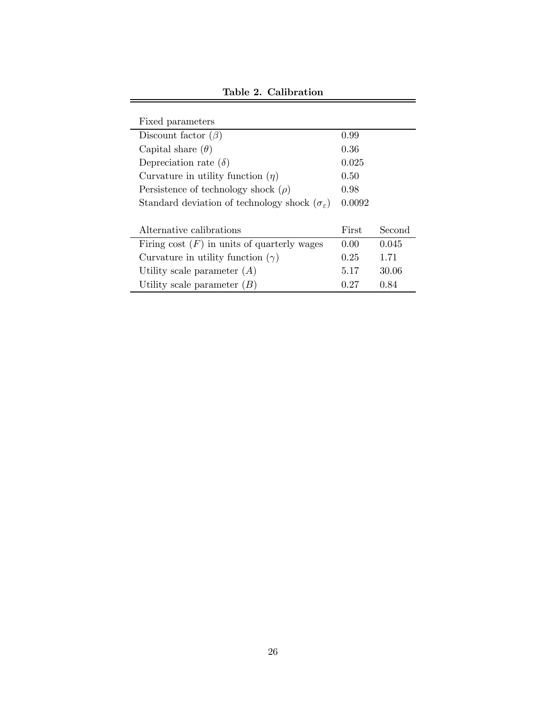| Fixed parameters                                                |              |        |
|-----------------------------------------------------------------|--------------|--------|
| Discount factor $(\beta)$                                       | 0.99         |        |
| Capital share $(\theta)$                                        | 0.36         |        |
| Depreciation rate $(\delta)$                                    | 0.025        |        |
| Curvature in utility function $(\eta)$                          | 0.50         |        |
| Persistence of technology shock $(\rho)$                        | 0.98         |        |
| Standard deviation of technology shock $(\sigma_{\varepsilon})$ | 0.0092       |        |
|                                                                 |              |        |
| Alternative calibrations                                        | <b>First</b> | Second |
| Firing cost $(F)$ in units of quarterly wages                   | 0.00         | 0.045  |
| Curvature in utility function $(\gamma)$                        | 0.25         | 1.71   |
| Utility scale parameter $(A)$                                   | 5.17         | 30.06  |
| Utility scale parameter $(B)$                                   | 0.27         | 0.84   |

Table 2. Calibration

 $=$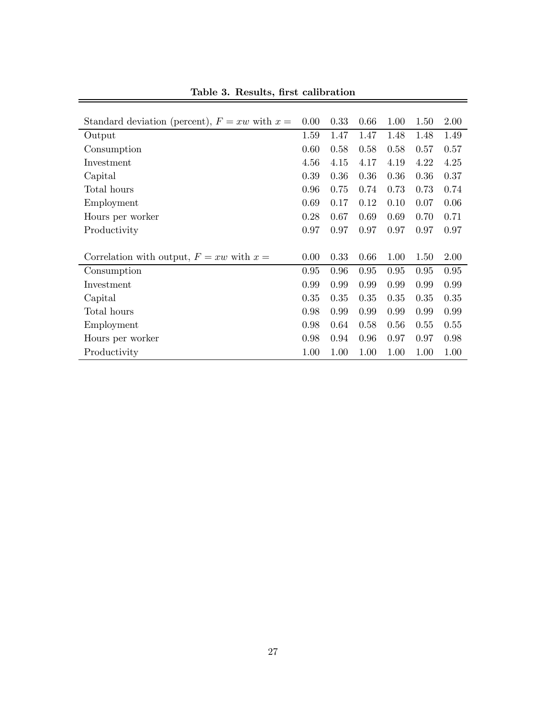| Standard deviation (percent), $F = xw$ with $x =$ | 0.00 | 0.33 | 0.66 | 1.00 | 1.50 | 2.00 |
|---------------------------------------------------|------|------|------|------|------|------|
| Output                                            |      | 1.47 | 1.47 | 1.48 | 1.48 | 1.49 |
| Consumption                                       | 0.60 | 0.58 | 0.58 | 0.58 | 0.57 | 0.57 |
| Investment                                        | 4.56 | 4.15 | 4.17 | 4.19 | 4.22 | 4.25 |
| Capital                                           | 0.39 | 0.36 | 0.36 | 0.36 | 0.36 | 0.37 |
| Total hours                                       | 0.96 | 0.75 | 0.74 | 0.73 | 0.73 | 0.74 |
| Employment                                        | 0.69 | 0.17 | 0.12 | 0.10 | 0.07 | 0.06 |
| Hours per worker                                  | 0.28 | 0.67 | 0.69 | 0.69 | 0.70 | 0.71 |
| Productivity                                      | 0.97 | 0.97 | 0.97 | 0.97 | 0.97 | 0.97 |
|                                                   |      |      |      |      |      |      |
| Correlation with output, $F = xw$ with $x =$      | 0.00 | 0.33 | 0.66 | 1.00 | 1.50 | 2.00 |
| Consumption                                       | 0.95 | 0.96 | 0.95 | 0.95 | 0.95 | 0.95 |
| Investment                                        | 0.99 | 0.99 | 0.99 | 0.99 | 0.99 | 0.99 |
| Capital                                           | 0.35 | 0.35 | 0.35 | 0.35 | 0.35 | 0.35 |
| Total hours                                       | 0.98 | 0.99 | 0.99 | 0.99 | 0.99 | 0.99 |
| Employment                                        |      | 0.64 | 0.58 | 0.56 | 0.55 | 0.55 |
| Hours per worker                                  |      | 0.94 | 0.96 | 0.97 | 0.97 | 0.98 |
| Productivity                                      |      | 1.00 | 1.00 | 1.00 | 1.00 | 1.00 |

Table 3. Results, first calibration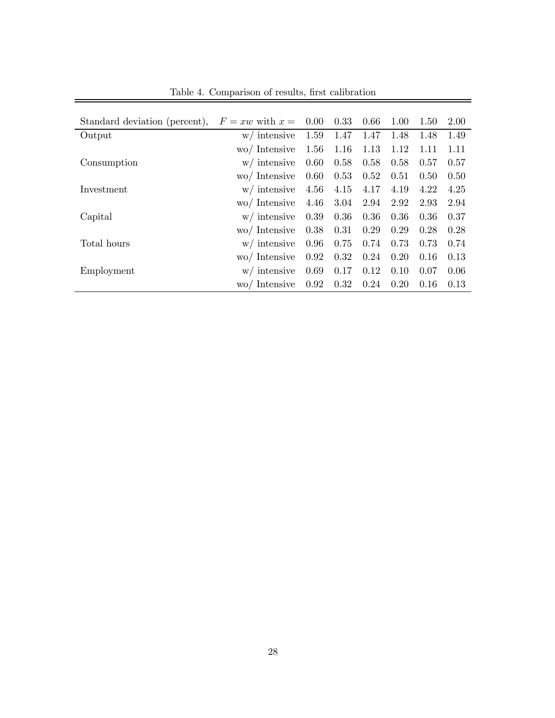| Standard deviation (percent), | $F = xw$ with $x =$ | 0.00 | 0.33 | 0.66 | 1.00 | 1.50 | 2.00 |
|-------------------------------|---------------------|------|------|------|------|------|------|
| Output                        | w/ intensive        | 1.59 | 1.47 | 1.47 | 1.48 | 1.48 | 1.49 |
|                               | wo/ Intensive       | 1.56 | 1.16 | 1.13 | 1.12 | 1.11 | 1.11 |
| Consumption                   | w/ intensive        | 0.60 | 0.58 | 0.58 | 0.58 | 0.57 | 0.57 |
|                               | wo/ Intensive       | 0.60 | 0.53 | 0.52 | 0.51 | 0.50 | 0.50 |
| Investment                    | $w/$ intensive      | 4.56 | 4.15 | 4.17 | 4.19 | 4.22 | 4.25 |
|                               | wo/ Intensive       | 4.46 | 3.04 | 2.94 | 2.92 | 2.93 | 2.94 |
| Capital                       | w/ intensive        | 0.39 | 0.36 | 0.36 | 0.36 | 0.36 | 0.37 |
|                               | wo/ Intensive       | 0.38 | 0.31 | 0.29 | 0.29 | 0.28 | 0.28 |
| Total hours                   | w/ intensive        | 0.96 | 0.75 | 0.74 | 0.73 | 0.73 | 0.74 |
|                               | wo/ Intensive       | 0.92 | 0.32 | 0.24 | 0.20 | 0.16 | 0.13 |
| Employment                    | w/ intensive        | 0.69 | 0.17 | 0.12 | 0.10 | 0.07 | 0.06 |
|                               | wo/ Intensive       | 0.92 | 0.32 | 0.24 | 0.20 | 0.16 | 0.13 |

Table 4. Comparison of results, first calibration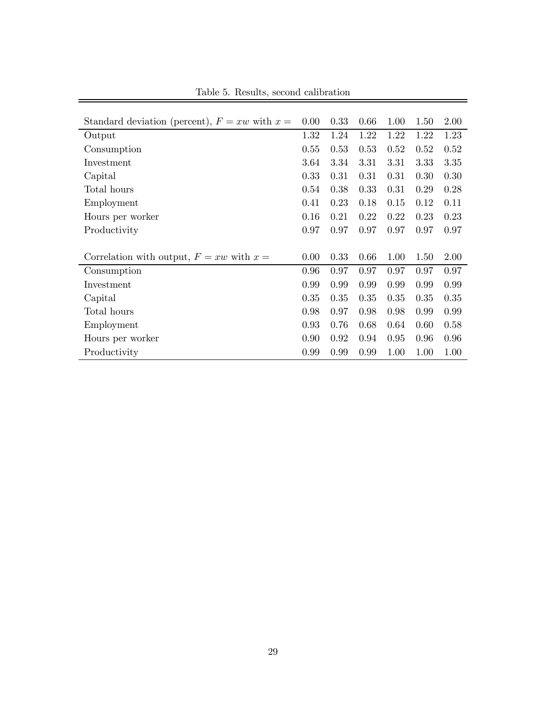| Standard deviation (percent), $F = xw$ with $x =$ | 0.00 | 0.33 | 0.66 | 1.00 | 1.50 | 2.00 |
|---------------------------------------------------|------|------|------|------|------|------|
| Output                                            |      | 1.24 | 1.22 | 1.22 | 1.22 | 1.23 |
| Consumption                                       | 0.55 | 0.53 | 0.53 | 0.52 | 0.52 | 0.52 |
| Investment                                        | 3.64 | 3.34 | 3.31 | 3.31 | 3.33 | 3.35 |
| Capital                                           | 0.33 | 0.31 | 0.31 | 0.31 | 0.30 | 0.30 |
| Total hours                                       | 0.54 | 0.38 | 0.33 | 0.31 | 0.29 | 0.28 |
| Employment                                        | 0.41 | 0.23 | 0.18 | 0.15 | 0.12 | 0.11 |
| Hours per worker                                  | 0.16 | 0.21 | 0.22 | 0.22 | 0.23 | 0.23 |
| Productivity                                      | 0.97 | 0.97 | 0.97 | 0.97 | 0.97 | 0.97 |
|                                                   |      |      |      |      |      |      |
| Correlation with output, $F = xw$ with $x =$      | 0.00 | 0.33 | 0.66 | 1.00 | 1.50 | 2.00 |
| Consumption                                       | 0.96 | 0.97 | 0.97 | 0.97 | 0.97 | 0.97 |
| Investment                                        | 0.99 | 0.99 | 0.99 | 0.99 | 0.99 | 0.99 |
| Capital                                           | 0.35 | 0.35 | 0.35 | 0.35 | 0.35 | 0.35 |
| Total hours                                       | 0.98 | 0.97 | 0.98 | 0.98 | 0.99 | 0.99 |
| Employment                                        | 0.93 | 0.76 | 0.68 | 0.64 | 0.60 | 0.58 |
| Hours per worker                                  |      | 0.92 | 0.94 | 0.95 | 0.96 | 0.96 |
| Productivity                                      | 0.99 | 0.99 | 0.99 | 1.00 | 1.00 | 1.00 |

Table 5. Results, second calibration

 $=$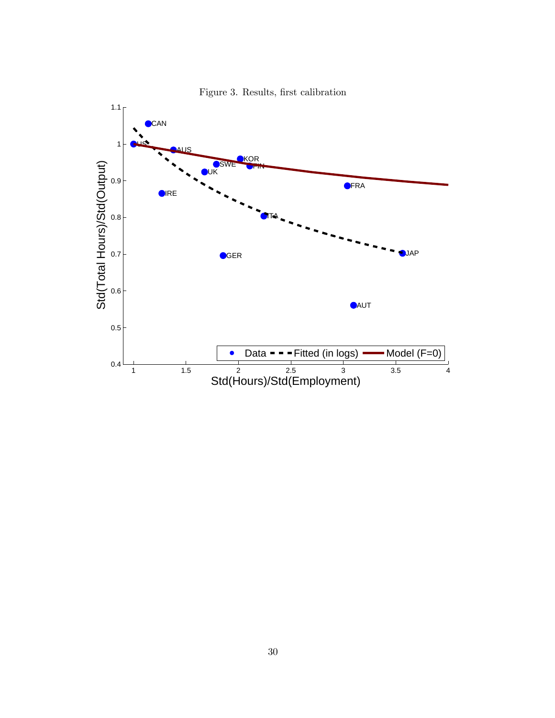

Figure 3. Results, first calibration